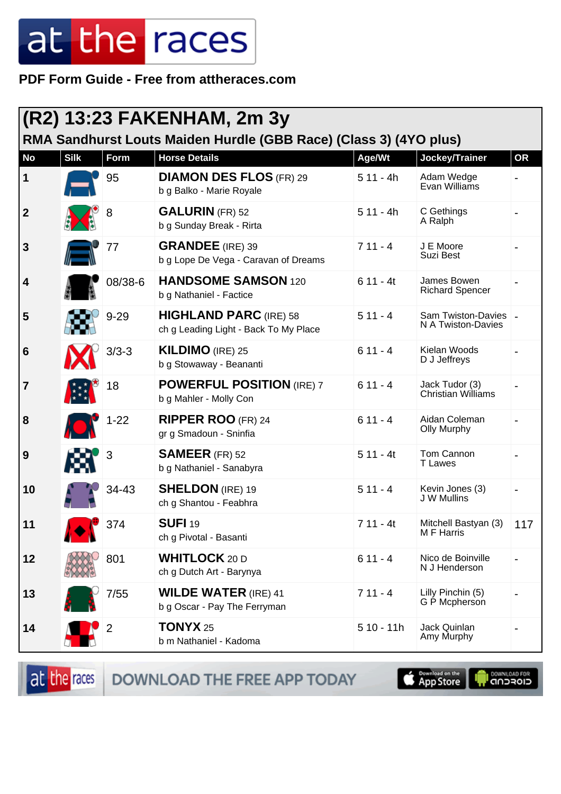**PDF Form Guide - Free from attheraces.com**

| (R2) 13:23 FAKENHAM, 2m 3y<br>RMA Sandhurst Louts Maiden Hurdle (GBB Race) (Class 3) (4YO plus) |             |                |                                                                        |             |                                              |           |  |  |
|-------------------------------------------------------------------------------------------------|-------------|----------------|------------------------------------------------------------------------|-------------|----------------------------------------------|-----------|--|--|
| <b>No</b>                                                                                       | <b>Silk</b> | Form           | <b>Horse Details</b>                                                   | Age/Wt      | Jockey/Trainer                               | <b>OR</b> |  |  |
| $\vert$ 1                                                                                       |             | 95             | <b>DIAMON DES FLOS (FR) 29</b><br>b g Balko - Marie Royale             | $511 - 4h$  | Adam Wedge<br>Evan Williams                  |           |  |  |
| $\boldsymbol{2}$                                                                                |             | 8              | <b>GALURIN</b> (FR) 52<br>b g Sunday Break - Rirta                     | $511 - 4h$  | C Gethings<br>A Ralph                        |           |  |  |
| 3                                                                                               |             | 77             | <b>GRANDEE</b> (IRE) 39<br>b g Lope De Vega - Caravan of Dreams        | $711 - 4$   | J E Moore<br>Suzi Best                       |           |  |  |
| 4                                                                                               |             | 08/38-6        | <b>HANDSOME SAMSON 120</b><br>b g Nathaniel - Factice                  | $611 - 4t$  | James Bowen<br><b>Richard Spencer</b>        |           |  |  |
| 5                                                                                               |             | $9 - 29$       | <b>HIGHLAND PARC (IRE) 58</b><br>ch g Leading Light - Back To My Place | $511 - 4$   | Sam Twiston-Davies   _<br>N A Twiston-Davies |           |  |  |
| $6\phantom{1}6$                                                                                 |             | $3/3 - 3$      | <b>KILDIMO</b> (IRE) 25<br>b g Stowaway - Beananti                     | $611 - 4$   | Kielan Woods<br>D J Jeffreys                 |           |  |  |
| $\overline{\mathbf{7}}$                                                                         |             | 18             | <b>POWERFUL POSITION (IRE) 7</b><br>b g Mahler - Molly Con             | $611 - 4$   | Jack Tudor (3)<br>Christian Williams         |           |  |  |
| 8                                                                                               |             | $1 - 22$       | <b>RIPPER ROO (FR) 24</b><br>gr g Smadoun - Sninfia                    | $611 - 4$   | Aidan Coleman<br><b>Olly Murphy</b>          |           |  |  |
| 9                                                                                               |             | 3              | <b>SAMEER</b> (FR) 52<br>b g Nathaniel - Sanabyra                      | $511 - 4t$  | Tom Cannon<br><b>T</b> Lawes                 |           |  |  |
| 10                                                                                              |             | 34-43          | <b>SHELDON</b> (IRE) 19<br>ch g Shantou - Feabhra                      | $511 - 4$   | Kevin Jones (3)<br>J W Mullins               |           |  |  |
| 11                                                                                              |             | 374            | <b>SUFI 19</b><br>ch g Pivotal - Basanti                               | $711 - 4t$  | Mitchell Bastyan (3)<br>M F Harris           | 117       |  |  |
| 12                                                                                              |             | 801            | <b>WHITLOCK 20 D</b><br>ch g Dutch Art - Barynya                       | $611 - 4$   | Nico de Boinville<br>N J Henderson           |           |  |  |
| 13                                                                                              |             | 7/55           | <b>WILDE WATER (IRE) 41</b><br>b g Oscar - Pay The Ferryman            | $711 - 4$   | Lilly Pinchin (5)<br>G P Mcpherson           |           |  |  |
| 14                                                                                              |             | $\overline{2}$ | TONYX <sub>25</sub><br>b m Nathaniel - Kadoma                          | $510 - 11h$ | Jack Quinlan<br>Amy Murphy                   |           |  |  |

at the races DOWNLOAD THE FREE APP TODAY **Completed on the OOWNLOAD FOR**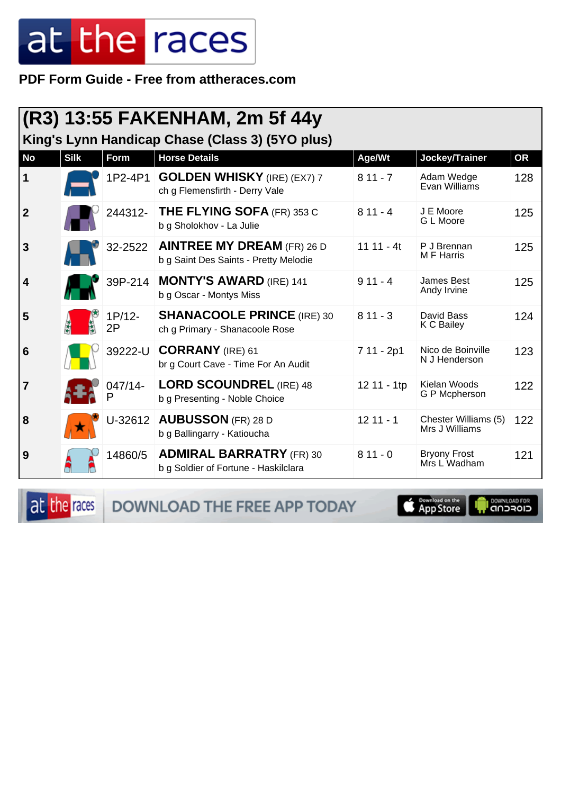**PDF Form Guide - Free from attheraces.com**

| (R3) 13:55 FAKENHAM, 2m 5f 44y<br>King's Lynn Handicap Chase (Class 3) (5YO plus) |             |              |                                                                            |             |                                        |           |  |  |
|-----------------------------------------------------------------------------------|-------------|--------------|----------------------------------------------------------------------------|-------------|----------------------------------------|-----------|--|--|
| <b>No</b>                                                                         | <b>Silk</b> | Form         | <b>Horse Details</b>                                                       | Age/Wt      | Jockey/Trainer                         | <b>OR</b> |  |  |
| $\vert$ 1                                                                         |             | 1P2-4P1      | <b>GOLDEN WHISKY</b> (IRE) (EX7) 7<br>ch g Flemensfirth - Derry Vale       | $811 - 7$   | Adam Wedge<br>Evan Williams            | 128       |  |  |
| $\vert$ 2                                                                         |             | 244312-      | <b>THE FLYING SOFA (FR) 353 C</b><br>b g Sholokhov - La Julie              | $811 - 4$   | J E Moore<br>G L Moore                 | 125       |  |  |
| $\overline{3}$                                                                    |             | 32-2522      | <b>AINTREE MY DREAM (FR) 26 D</b><br>b g Saint Des Saints - Pretty Melodie | $1111 - 4t$ | P J Brennan<br>M F Harris              | 125       |  |  |
| $\overline{4}$                                                                    |             | 39P-214      | <b>MONTY'S AWARD (IRE) 141</b><br>b g Oscar - Montys Miss                  | $911 - 4$   | <b>James Best</b><br>Andy Irvine       | 125       |  |  |
| 5                                                                                 |             | 1P/12-<br>2P | <b>SHANACOOLE PRINCE (IRE) 30</b><br>ch g Primary - Shanacoole Rose        | $811 - 3$   | David Bass<br>K C Bailey               | 124       |  |  |
| $6\phantom{1}6$                                                                   |             | 39222-U      | <b>CORRANY</b> (IRE) 61<br>br g Court Cave - Time For An Audit             | 7 11 - 2p1  | Nico de Boinville<br>N J Henderson     | 123       |  |  |
| $\overline{7}$                                                                    |             | 047/14-      | <b>LORD SCOUNDREL (IRE) 48</b><br>b g Presenting - Noble Choice            | 12 11 - 1tp | Kielan Woods<br>G P Mcpherson          | 122       |  |  |
| 8                                                                                 |             | U-32612      | <b>AUBUSSON</b> (FR) 28 D<br>b g Ballingarry - Katioucha                   | $1211 - 1$  | Chester Williams (5)<br>Mrs J Williams | 122       |  |  |
| 9                                                                                 |             | 14860/5      | <b>ADMIRAL BARRATRY (FR) 30</b><br>b g Soldier of Fortune - Haskilclara    | $811 - 0$   | <b>Bryony Frost</b><br>Mrs L Wadham    | 121       |  |  |

at the races DOWNLOAD THE FREE APP TODAY

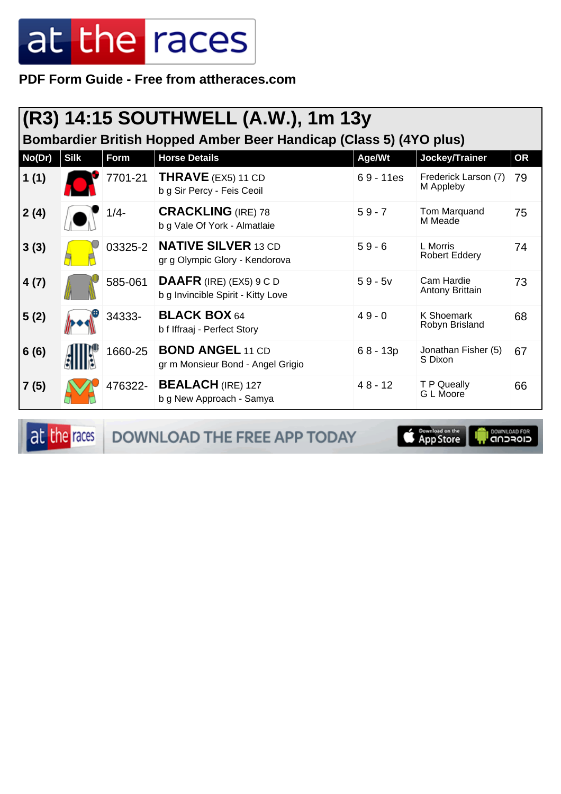PDF Form Guide - Free from attheraces.com

|        | (R3) 14:15 SOUTHWELL (A.W.), 1m 13y<br>Bombardier British Hopped Amber Beer Handicap (Class 5) (4YO plus) |         |                                                                 |             |                                      |           |  |  |
|--------|-----------------------------------------------------------------------------------------------------------|---------|-----------------------------------------------------------------|-------------|--------------------------------------|-----------|--|--|
| No(Dr) | <b>Silk</b>                                                                                               | Form    | <b>Horse Details</b>                                            | Age/Wt      | Jockey/Trainer                       | <b>OR</b> |  |  |
| 1(1)   |                                                                                                           | 7701-21 | THRAVE (EX5) 11 CD<br>b g Sir Percy - Feis Ceoil                | $69 - 11es$ | Frederick Larson (7)<br>M Appleby    | 79        |  |  |
| 2(4)   |                                                                                                           | 1/4-    | <b>CRACKLING (IRE) 78</b><br>b g Vale Of York - Almatlaie       | $59 - 7$    | Tom Marquand<br>M Meade              | 75        |  |  |
| 3(3)   |                                                                                                           | 03325-2 | <b>NATIVE SILVER 13 CD</b><br>gr g Olympic Glory - Kendorova    | $59 - 6$    | L Morris<br><b>Robert Eddery</b>     | 74        |  |  |
| 4(7)   |                                                                                                           | 585-061 | DAAFR (IRE) (EX5) $9 C D$<br>b g Invincible Spirit - Kitty Love | $59 - 5v$   | Cam Hardie<br><b>Antony Brittain</b> | 73        |  |  |
| 5(2)   |                                                                                                           | 34333-  | <b>BLACK BOX 64</b><br>b f Iffraaj - Perfect Story              | $49 - 0$    | K Shoemark<br>Robyn Brisland         | 68        |  |  |
| 6(6)   |                                                                                                           | 1660-25 | <b>BOND ANGEL 11 CD</b><br>gr m Monsieur Bond - Angel Grigio    | $68 - 13p$  | Jonathan Fisher (5)<br>S Dixon       | 67        |  |  |
| 7(5)   |                                                                                                           | 476322- | <b>BEALACH</b> (IRE) 127<br>b g New Approach - Samya            | $48 - 12$   | T P Queally<br>G L Moore             | 66        |  |  |

at the races

DOWNLOAD THE FREE APP TODAY

Download on the **I DOWNLOAD FOR**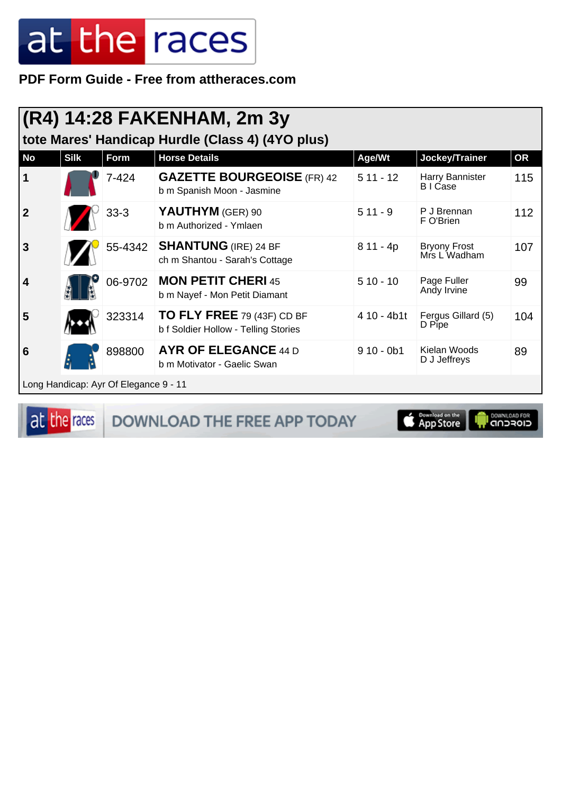PDF Form Guide - Free from attheraces.com

|                         | (R4) 14:28 FAKENHAM, 2m 3y<br>tote Mares' Handicap Hurdle (Class 4) (4YO plus) |                                       |                                                                    |             |                                     |           |  |  |
|-------------------------|--------------------------------------------------------------------------------|---------------------------------------|--------------------------------------------------------------------|-------------|-------------------------------------|-----------|--|--|
| No                      | <b>Silk</b>                                                                    | Form                                  | <b>Horse Details</b>                                               | Age/Wt      | Jockey/Trainer                      | <b>OR</b> |  |  |
| $\mathbf 1$             |                                                                                | $7 - 424$                             | <b>GAZETTE BOURGEOISE (FR) 42</b><br>b m Spanish Moon - Jasmine    | $511 - 12$  | Harry Bannister<br><b>BICase</b>    | 115       |  |  |
| $\overline{2}$          |                                                                                | $33-3$                                | YAUTHYM (GER) 90<br>b m Authorized - Ymlaen                        | $511 - 9$   | P J Brennan<br>F O'Brien            | 112       |  |  |
| $\overline{\mathbf{3}}$ |                                                                                | 55-4342                               | <b>SHANTUNG</b> (IRE) 24 BF<br>ch m Shantou - Sarah's Cottage      | $811 - 4p$  | <b>Bryony Frost</b><br>Mrs L Wadham | 107       |  |  |
| $\overline{\mathbf{4}}$ |                                                                                | 06-9702                               | <b>MON PETIT CHERI 45</b><br>b m Nayef - Mon Petit Diamant         | $510 - 10$  | Page Fuller<br>Andy Irvine          | 99        |  |  |
| 5                       |                                                                                | 323314                                | TO FLY FREE 79 (43F) CD BF<br>b f Soldier Hollow - Telling Stories | 4 10 - 4b1t | Fergus Gillard (5)<br>D Pipe        | 104       |  |  |
| 6                       |                                                                                | 898800                                | <b>AYR OF ELEGANCE 44 D</b><br>b m Motivator - Gaelic Swan         | $910 - 0b1$ | Kielan Woods<br>D J Jeffreys        | 89        |  |  |
|                         |                                                                                | Long Handicap: Ayr Of Elegance 9 - 11 |                                                                    |             |                                     |           |  |  |

at the races

DOWNLOAD THE FREE APP TODAY

**Completed on the I DOWNLOAD FOR**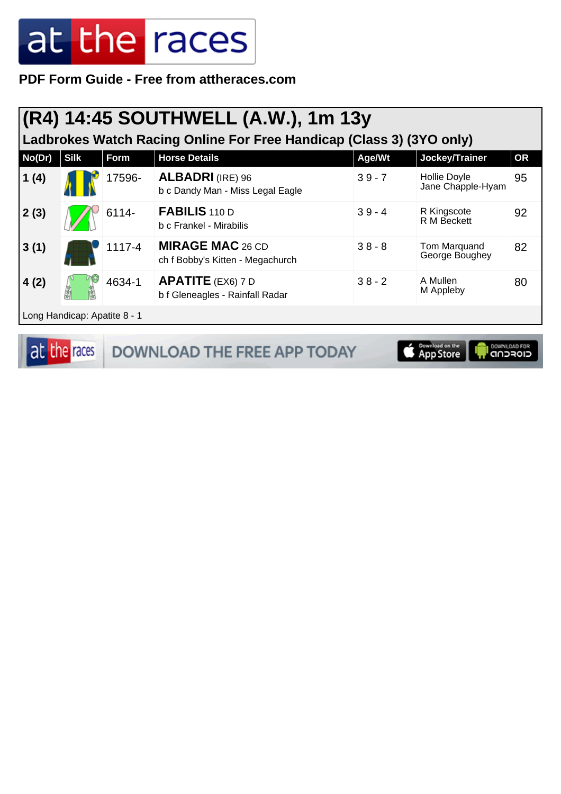**PDF Form Guide - Free from attheraces.com**

#### **(R4) 14:45 SOUTHWELL (A.W.), 1m 13y**

**Ladbrokes Watch Racing Online For Free Handicap (Class 3) (3YO only)**

| No(Dr) | <b>Silk</b>                  | Form   | <b>Horse Details</b>                                        | Age/Wt   | Jockey/Trainer                    | <b>OR</b> |  |  |
|--------|------------------------------|--------|-------------------------------------------------------------|----------|-----------------------------------|-----------|--|--|
| 1(4)   |                              | 17596- | <b>ALBADRI</b> (IRE) 96<br>b c Dandy Man - Miss Legal Eagle | $39 - 7$ | Hollie Doyle<br>Jane Chapple-Hyam | 95        |  |  |
| 2(3)   |                              | 6114-  | FABILIS 110 D<br>b c Frankel - Mirabilis                    | $39 - 4$ | R Kingscote<br>R M Beckett        | 92        |  |  |
| 3(1)   |                              | 1117-4 | <b>MIRAGE MAC 26 CD</b><br>ch f Bobby's Kitten - Megachurch | $38 - 8$ | Tom Marquand<br>George Boughey    | 82        |  |  |
| 4(2)   |                              | 4634-1 | <b>APATITE</b> (EX6) 7 D<br>b f Gleneagles - Rainfall Radar | $38 - 2$ | A Mullen<br>M Appleby             | 80        |  |  |
|        | Long Handicap: Apatite 8 - 1 |        |                                                             |          |                                   |           |  |  |

at the races DOWNLOAD THE FREE APP TODAY **Exampled on the** 

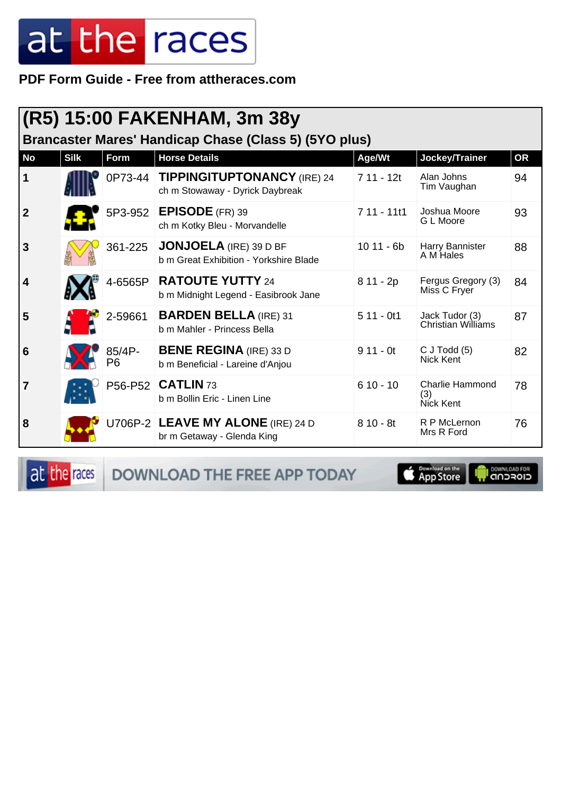PDF Form Guide - Free from attheraces.com

| (R5) 15:00 FAKENHAM, 3m 38y<br>Brancaster Mares' Handicap Chase (Class 5) (5YO plus) |             |              |                                                                         |              |                                            |           |  |
|--------------------------------------------------------------------------------------|-------------|--------------|-------------------------------------------------------------------------|--------------|--------------------------------------------|-----------|--|
| <b>No</b>                                                                            | <b>Silk</b> | Form         | <b>Horse Details</b>                                                    | Age/Wt       | Jockey/Trainer                             | <b>OR</b> |  |
| 1                                                                                    |             | 0P73-44      | <b>TIPPINGITUPTONANCY (IRE) 24</b><br>ch m Stowaway - Dyrick Daybreak   | 7 11 - 12t   | Alan Johns<br>Tim Vaughan                  | 94        |  |
| $\overline{2}$                                                                       |             |              | 5P3-952 EPISODE (FR) 39<br>ch m Kotky Bleu - Morvandelle                | $711 - 1111$ | Joshua Moore<br>G L Moore                  | 93        |  |
| 3                                                                                    |             | 361-225      | <b>JONJOELA</b> (IRE) 39 D BF<br>b m Great Exhibition - Yorkshire Blade | $1011 - 6b$  | Harry Bannister<br>A M Hales               | 88        |  |
| 4                                                                                    |             | 4-6565P      | <b>RATOUTE YUTTY 24</b><br>b m Midnight Legend - Easibrook Jane         | 8 11 - 2p    | Fergus Gregory (3)<br>Miss C Fryer         | 84        |  |
| 5                                                                                    |             | 2-59661      | <b>BARDEN BELLA (IRE) 31</b><br>b m Mahler - Princess Bella             | $511 - 0t1$  | Jack Tudor (3)<br>Christian Williams       | 87        |  |
| 6                                                                                    |             | 85/4P-<br>P6 | <b>BENE REGINA</b> (IRE) 33 D<br>b m Beneficial - Lareine d'Anjou       | $911 - 0t$   | $C$ J Todd $(5)$<br><b>Nick Kent</b>       | 82        |  |
| $\overline{7}$                                                                       |             |              | P56-P52 CATLIN 73<br>b m Bollin Eric - Linen Line                       | $610 - 10$   | <b>Charlie Hammond</b><br>(3)<br>Nick Kent | 78        |  |
| 8                                                                                    |             |              | U706P-2 LEAVE MY ALONE (IRE) 24 D<br>br m Getaway - Glenda King         | $810 - 8t$   | R P McLernon<br>Mrs R Ford                 | 76        |  |

at the races

DOWNLOAD THE FREE APP TODAY

**Example of the App Store** 

**I DOWNLOAD FOR**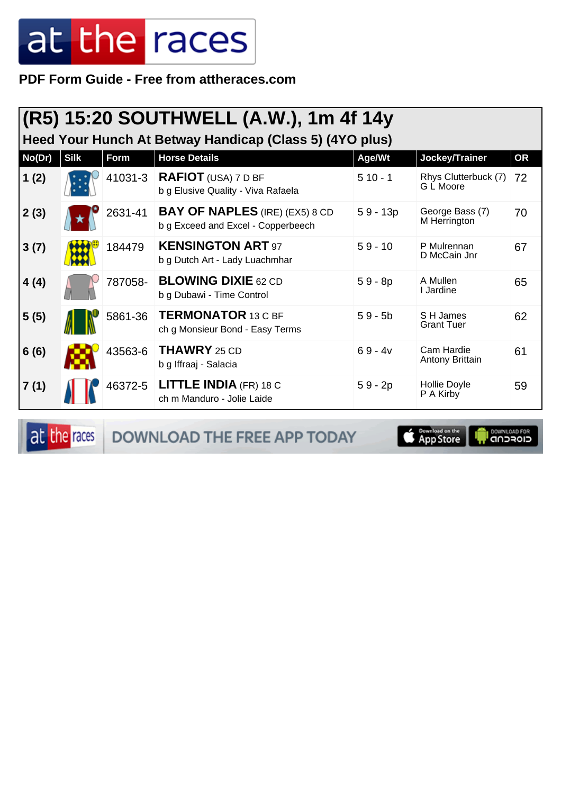PDF Form Guide - Free from attheraces.com

| (R5) 15:20 SOUTHWELL (A.W.), 1m 4f 14y<br>Heed Your Hunch At Betway Handicap (Class 5) (4YO plus) |             |         |                                                                             |            |                                   |           |  |  |
|---------------------------------------------------------------------------------------------------|-------------|---------|-----------------------------------------------------------------------------|------------|-----------------------------------|-----------|--|--|
| No(Dr)                                                                                            | <b>Silk</b> | Form    | <b>Horse Details</b>                                                        | Age/Wt     | Jockey/Trainer                    | <b>OR</b> |  |  |
| 1(2)                                                                                              |             | 41031-3 | <b>RAFIOT</b> (USA) $7DBF$<br>b g Elusive Quality - Viva Rafaela            | $510 - 1$  | Rhys Clutterbuck (7)<br>G L Moore | 72        |  |  |
| 2(3)                                                                                              |             | 2631-41 | <b>BAY OF NAPLES</b> (IRE) (EX5) 8 CD<br>b g Exceed and Excel - Copperbeech | $59 - 13p$ | George Bass (7)<br>M Herrington   | 70        |  |  |
| 3(7)                                                                                              |             | 184479  | <b>KENSINGTON ART 97</b><br>b g Dutch Art - Lady Luachmhar                  | $59 - 10$  | P Mulrennan<br>D McCain Jnr       | 67        |  |  |
| 4(4)                                                                                              |             | 787058- | <b>BLOWING DIXIE 62 CD</b><br>b g Dubawi - Time Control                     | $59 - 8p$  | A Mullen<br>I Jardine             | 65        |  |  |
| 5(5)                                                                                              |             | 5861-36 | <b>TERMONATOR 13 C BF</b><br>ch g Monsieur Bond - Easy Terms                | $59 - 5b$  | S H James<br><b>Grant Tuer</b>    | 62        |  |  |
| 6(6)                                                                                              |             | 43563-6 | <b>THAWRY</b> 25 CD<br>b g Iffraaj - Salacia                                | $69 - 4v$  | Cam Hardie<br>Antony Brittain     | 61        |  |  |
| 7(1)                                                                                              |             | 46372-5 | <b>LITTLE INDIA (FR) 18 C</b><br>ch m Manduro - Jolie Laide                 | $59 - 2p$  | Hollie Doyle<br>P A Kirby         | 59        |  |  |

at the races

DOWNLOAD THE FREE APP TODAY

**App Store** 

**I DOWNLOAD FOR**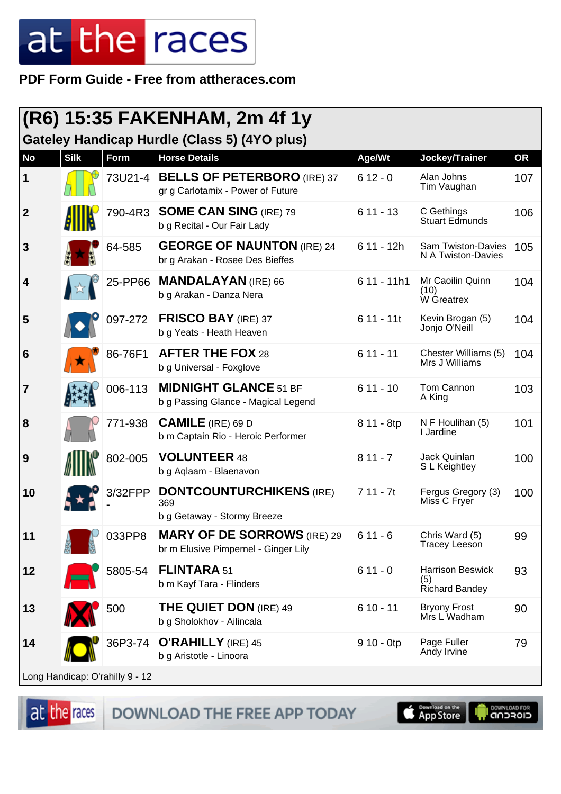**PDF Form Guide - Free from attheraces.com**

| (R6) 15:35 FAKENHAM, 2m 4f 1y<br>Gateley Handicap Hurdle (Class 5) (4YO plus) |             |                                 |                                                                            |              |                                                         |           |  |
|-------------------------------------------------------------------------------|-------------|---------------------------------|----------------------------------------------------------------------------|--------------|---------------------------------------------------------|-----------|--|
| <b>No</b>                                                                     | <b>Silk</b> | Form                            | <b>Horse Details</b>                                                       | Age/Wt       | Jockey/Trainer                                          | <b>OR</b> |  |
| 1                                                                             |             | 73U21-4                         | <b>BELLS OF PETERBORO</b> (IRE) 37<br>gr g Carlotamix - Power of Future    | $612 - 0$    | Alan Johns<br>Tim Vaughan                               | 107       |  |
| $\overline{2}$                                                                |             | 790-4R3                         | <b>SOME CAN SING (IRE) 79</b><br>b g Recital - Our Fair Lady               | $611 - 13$   | C Gethings<br><b>Stuart Edmunds</b>                     | 106       |  |
| 3                                                                             |             | 64-585                          | <b>GEORGE OF NAUNTON (IRE) 24</b><br>br g Arakan - Rosee Des Bieffes       | $611 - 12h$  | <b>Sam Twiston-Davies</b><br>N A Twiston-Davies         | 105       |  |
| 4                                                                             |             | 25-PP66                         | <b>MANDALAYAN</b> (IRE) 66<br>b g Arakan - Danza Nera                      | $611 - 11h1$ | Mr Caoilin Quinn<br>(10)<br>W Greatrex                  | 104       |  |
| 5                                                                             |             | 097-272                         | <b>FRISCO BAY (IRE) 37</b><br>b g Yeats - Heath Heaven                     | $611 - 11t$  | Kevin Brogan (5)<br>Jonjo O'Neill                       | 104       |  |
| 6                                                                             |             | 86-76F1                         | <b>AFTER THE FOX 28</b><br>b g Universal - Foxglove                        | $611 - 11$   | Chester Williams (5)<br>Mrs J Williams                  | 104       |  |
| $\overline{7}$                                                                |             | 006-113                         | <b>MIDNIGHT GLANCE 51 BF</b><br>b g Passing Glance - Magical Legend        | $611 - 10$   | Tom Cannon<br>A King                                    | 103       |  |
| 8                                                                             |             | 771-938                         | <b>CAMILE</b> (IRE) 69 D<br>b m Captain Rio - Heroic Performer             | 8 11 - 8tp   | N F Houlihan (5)<br>I Jardine                           | 101       |  |
| 9                                                                             |             | 802-005                         | <b>VOLUNTEER 48</b><br>b g Aqlaam - Blaenavon                              | $811 - 7$    | Jack Quinlan<br>S L Keightley                           | 100       |  |
| 10                                                                            |             | 3/32FPP                         | <b>DONTCOUNTURCHIKENS (IRE)</b><br>369<br>b g Getaway - Stormy Breeze      | $711 - 7t$   | Fergus Gregory (3)<br>Miss C Fryer                      | 100       |  |
| 11                                                                            |             | 033PP8                          | <b>MARY OF DE SORROWS (IRE) 29</b><br>br m Elusive Pimpernel - Ginger Lily | $611 - 6$    | Chris Ward (5)<br><b>Tracey Leeson</b>                  | 99        |  |
| 12                                                                            |             | 5805-54                         | <b>FLINTARA 51</b><br>b m Kayf Tara - Flinders                             | $611 - 0$    | <b>Harrison Beswick</b><br>(5)<br><b>Richard Bandey</b> | 93        |  |
| 13                                                                            |             | 500                             | <b>THE QUIET DON</b> (IRE) 49<br>b g Sholokhov - Ailincala                 | $610 - 11$   | <b>Bryony Frost</b><br>Mrs L Wadham                     | 90        |  |
| 14                                                                            |             | 36P3-74                         | <b>O'RAHILLY</b> (IRE) 45<br>b g Aristotle - Linoora                       | $910 - 0$ tp | Page Fuller<br>Andy Irvine                              | 79        |  |
|                                                                               |             | Long Handicap: O'rahilly 9 - 12 |                                                                            |              |                                                         |           |  |

at the races DOWNLOAD THE FREE APP TODAY



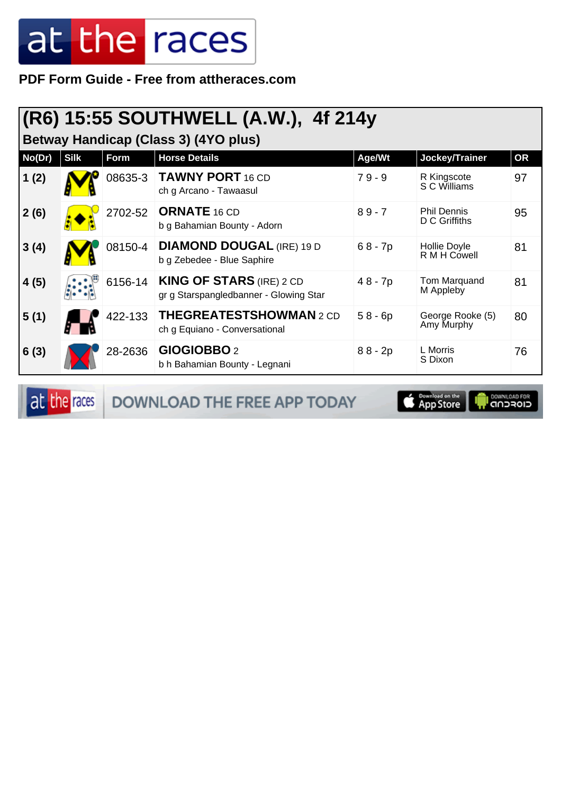**PDF Form Guide - Free from attheraces.com**

#### **(R6) 15:55 SOUTHWELL (A.W.), 4f 214y**

**Betway Handicap (Class 3) (4YO plus)**

|        |             |         | $\sqrt{ }$                                                                |           |                                     |           |
|--------|-------------|---------|---------------------------------------------------------------------------|-----------|-------------------------------------|-----------|
| No(Dr) | <b>Silk</b> | Form    | <b>Horse Details</b>                                                      | Age/Wt    | Jockey/Trainer                      | <b>OR</b> |
| 1(2)   |             | 08635-3 | <b>TAWNY PORT 16 CD</b><br>ch g Arcano - Tawaasul                         | $79 - 9$  | R Kingscote<br>S C Williams         | 97        |
| 2(6)   |             | 2702-52 | <b>ORNATE 16 CD</b><br>b g Bahamian Bounty - Adorn                        | $89 - 7$  | <b>Phil Dennis</b><br>D C Griffiths | 95        |
| 3(4)   |             | 08150-4 | <b>DIAMOND DOUGAL (IRE) 19 D</b><br>b g Zebedee - Blue Saphire            | $68 - 7p$ | Hollie Doyle<br>R M H Cowell        | 81        |
| 4(5)   |             | 6156-14 | <b>KING OF STARS (IRE) 2 CD</b><br>gr g Starspangledbanner - Glowing Star | 48 - 7p   | Tom Marquand<br>M Appleby           | 81        |
| 5(1)   |             | 422-133 | <b>THEGREATESTSHOWMAN2CD</b><br>ch g Equiano - Conversational             | $58 - 6p$ | George Rooke (5)<br>Amy Murphy      | 80        |
| 6(3)   |             | 28-2636 | GIOGIOBBO <sub>2</sub><br>b h Bahamian Bounty - Legnani                   | $88 - 2p$ | L Morris<br>S Dixon                 | 76        |

at the races DOWNLOAD THE FREE APP TODAY App Store **SOMALGAD FOR**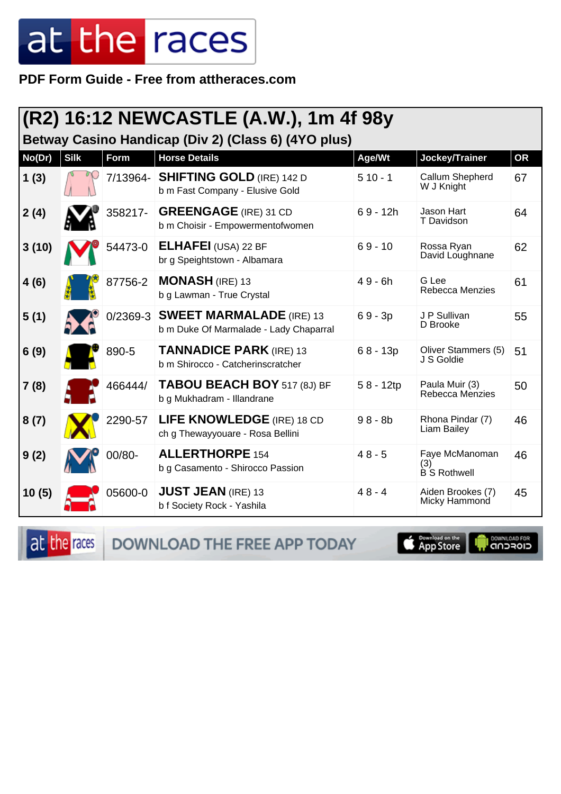PDF Form Guide - Free from attheraces.com

|                                                     |             |            | (R2) 16:12 NEWCASTLE (A.W.), 1m 4f 98y                                    |             |                                              |           |  |  |
|-----------------------------------------------------|-------------|------------|---------------------------------------------------------------------------|-------------|----------------------------------------------|-----------|--|--|
| Betway Casino Handicap (Div 2) (Class 6) (4YO plus) |             |            |                                                                           |             |                                              |           |  |  |
| No(Dr)                                              | <b>Silk</b> | Form       | <b>Horse Details</b>                                                      | Age/Wt      | Jockey/Trainer                               | <b>OR</b> |  |  |
| 1(3)                                                |             | 7/13964-   | <b>SHIFTING GOLD (IRE) 142 D</b><br>b m Fast Company - Elusive Gold       | $510 - 1$   | Callum Shepherd<br>W J Knight                | 67        |  |  |
| 2(4)                                                |             | 358217-    | <b>GREENGAGE</b> (IRE) 31 CD<br>b m Choisir - Empowermentofwomen          | $69 - 12h$  | Jason Hart<br>T Davidson                     | 64        |  |  |
| 3(10)                                               |             | 54473-0    | <b>ELHAFEI</b> (USA) 22 BF<br>br g Speightstown - Albamara                | $69 - 10$   | Rossa Ryan<br>David Loughnane                | 62        |  |  |
| 4(6)                                                |             | 87756-2    | <b>MONASH (IRE) 13</b><br>b g Lawman - True Crystal                       | $49 - 6h$   | G Lee<br>Rebecca Menzies                     | 61        |  |  |
| 5(1)                                                |             | $0/2369-3$ | <b>SWEET MARMALADE (IRE) 13</b><br>b m Duke Of Marmalade - Lady Chaparral | $69 - 3p$   | J P Sullivan<br>D Brooke                     | 55        |  |  |
| 6(9)                                                |             | 890-5      | <b>TANNADICE PARK (IRE) 13</b><br>b m Shirocco - Catcherinscratcher       | $68 - 13p$  | Oliver Stammers (5)<br>J S Goldie            | 51        |  |  |
| 7(8)                                                |             | 466444/    | TABOU BEACH BOY 517 (8J) BF<br>b g Mukhadram - Illandrane                 | $58 - 12tp$ | Paula Muir (3)<br>Rebecca Menzies            | 50        |  |  |
| 8(7)                                                |             | 2290-57    | LIFE KNOWLEDGE (IRE) 18 CD<br>ch g Thewayyouare - Rosa Bellini            | $98 - 8b$   | Rhona Pindar (7)<br><b>Liam Bailey</b>       | 46        |  |  |
| 9(2)                                                |             | 00/80-     | <b>ALLERTHORPE 154</b><br>b g Casamento - Shirocco Passion                | $48 - 5$    | Faye McManoman<br>(3)<br><b>B</b> S Rothwell | 46        |  |  |
| 10(5)                                               |             | 05600-0    | <b>JUST JEAN (IRE) 13</b><br>b f Society Rock - Yashila                   | $48 - 4$    | Aiden Brookes (7)<br>Micky Hammond           | 45        |  |  |

at the races DOWNLOAD THE FREE APP TODAY

**E** Download on the

**I DOWNLOAD FOR**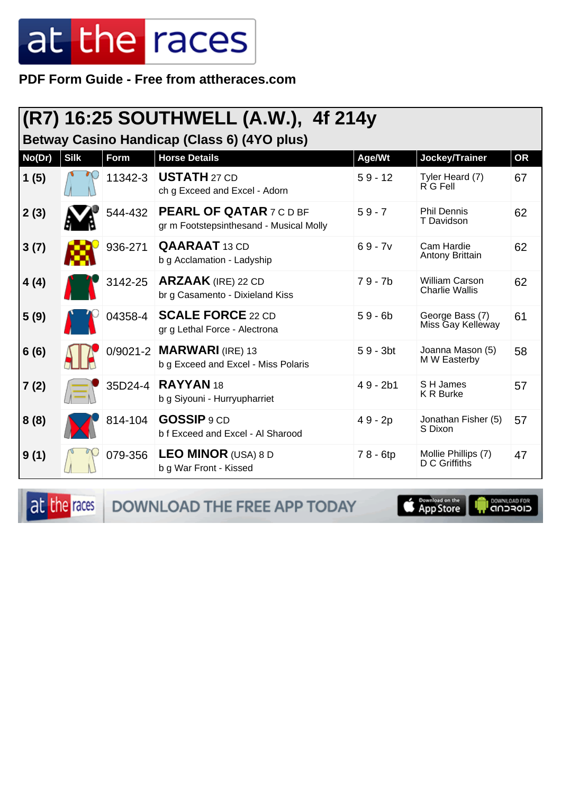**PDF Form Guide - Free from attheraces.com**

#### **(R7) 16:25 SOUTHWELL (A.W.), 4f 214y**

**Betway Casino Handicap (Class 6) (4YO plus)**

| No(Dr) | <b>Silk</b> | Form    | <b>Horse Details</b>                                                      | Age/Wt     | Jockey/Trainer                                 | <b>OR</b> |
|--------|-------------|---------|---------------------------------------------------------------------------|------------|------------------------------------------------|-----------|
| 1(5)   |             | 11342-3 | <b>USTATH 27 CD</b><br>ch g Exceed and Excel - Adorn                      | $59 - 12$  | Tyler Heard (7)<br>$R$ G Fell                  | 67        |
| 2(3)   |             | 544-432 | <b>PEARL OF QATAR 7 C D BF</b><br>gr m Footstepsinthesand - Musical Molly | $59 - 7$   | <b>Phil Dennis</b><br>T Davidson               | 62        |
| 3(7)   |             | 936-271 | <b>QAARAAT</b> 13 CD<br>b g Acclamation - Ladyship                        | $69 - 7v$  | Cam Hardie<br>Antony Brittain                  | 62        |
| 4(4)   |             | 3142-25 | <b>ARZAAK</b> (IRE) 22 CD<br>br g Casamento - Dixieland Kiss              | $79 - 7b$  | <b>William Carson</b><br><b>Charlie Wallis</b> | 62        |
| 5(9)   |             | 04358-4 | <b>SCALE FORCE 22 CD</b><br>gr g Lethal Force - Alectrona                 | $59 - 6b$  | George Bass (7)<br>Miss Gay Kelleway           | 61        |
| 6(6)   |             |         | 0/9021-2 MARWARI (IRE) 13<br>b g Exceed and Excel - Miss Polaris          | $59 - 3bt$ | Joanna Mason (5)<br>M W Easterby               | 58        |
| 7(2)   |             | 35D24-4 | RAYYAN 18<br>b g Siyouni - Hurryupharriet                                 | $49 - 2b1$ | S H James<br><b>K R Burke</b>                  | 57        |
| 8(8)   |             | 814-104 | GOSSIP 9 CD<br>b f Exceed and Excel - Al Sharood                          | 49 - 2p    | Jonathan Fisher (5)<br>S Dixon                 | 57        |
| 9(1)   |             | 079-356 | <b>LEO MINOR</b> (USA) 8 D<br>b g War Front - Kissed                      | 78 - 6tp   | Mollie Phillips (7)<br>D C Griffiths           | 47        |

at the races DOWNLOAD THE FREE APP TODAY